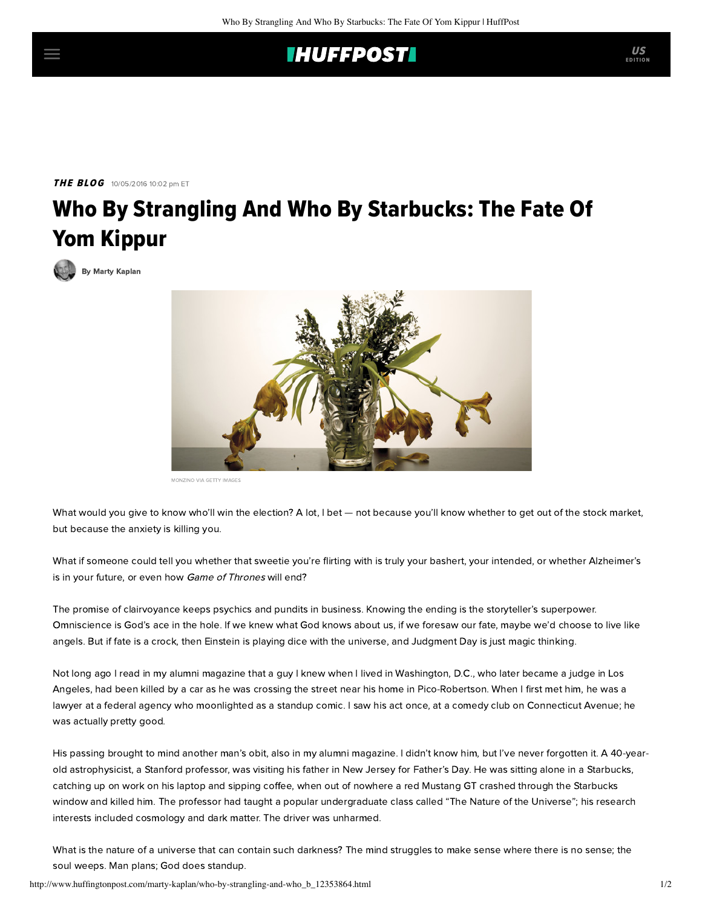## **IHUFFPOSTI**

**THE BLOG** 10/05/2016 10:02 pm ET

## Who By Strangling And Who By Starbucks: The Fate Of Yom Kippur

[By Marty Kaplan](http://www.huffingtonpost.com/author/marty-kaplan)



MONZINO VIA GETTY IMAGES

What would you give to know who'll win the election? A lot, I bet — not because you'll know whether to get out of the stock market, but because the anxiety is killing you.

What if someone could tell you whether that sweetie you're flirting with is truly your bashert, your intended, or whether Alzheimer's is in your future, or even how Game of Thrones will end?

The promise of clairvoyance keeps psychics and pundits in business. Knowing the ending is the storyteller's superpower. Omniscience is God's ace in the hole. If we knew what God knows about us, if we foresaw our fate, maybe we'd choose to live like angels. But if fate is a crock, then Einstein is playing dice with the universe, and Judgment Day is just magic thinking.

Not long ago I read in my alumni magazine that a guy I knew when I lived in Washington, D.C., who later became a judge in Los Angeles, had been killed by a car as he was crossing the street near his home in Pico-Robertson. When I first met him, he was a lawyer at a federal agency who moonlighted as a standup comic. I saw his act once, at a comedy club on Connecticut Avenue; he was actually pretty good.

His passing brought to mind another man's obit, also in my alumni magazine. I didn't know him, but I've never forgotten it. A 40-yearold astrophysicist, a Stanford professor, was visiting his father in New Jersey for Father's Day. He was sitting alone in a Starbucks, catching up on work on his laptop and sipping coffee, when out of nowhere a red Mustang GT crashed through the Starbucks window and killed him. The professor had taught a popular undergraduate class called "The Nature of the Universe"; his research interests included cosmology and dark matter. The driver was unharmed.

What is the nature of a universe that can contain such darkness? The mind struggles to make sense where there is no sense; the soul weeps. Man plans; God does standup.